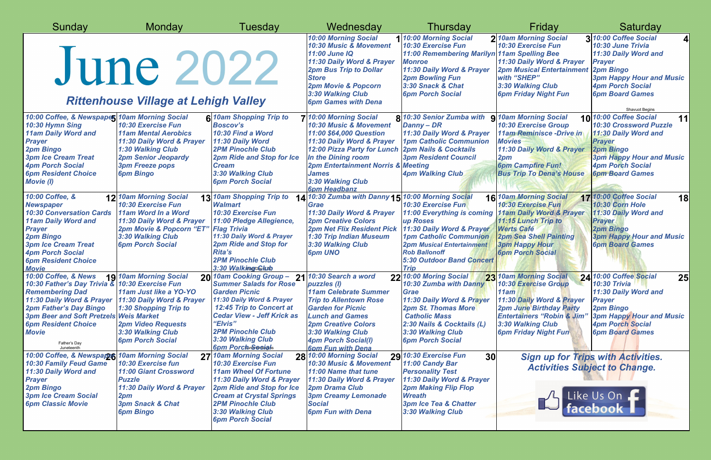| Sunday                                                                                                                                                                                                                                                                                      | <b>Monday</b>                                                                                                                                                                                     | Tuesday                                                                                                                                                                                                                                                                      | Wednesday                                                                                                                                                                                                                                                                      | Thursday                                                                                                                                                                                                                                         | Friday                                                                                                                                                                                                               | Saturday                                                                                                                                                                                                                 |
|---------------------------------------------------------------------------------------------------------------------------------------------------------------------------------------------------------------------------------------------------------------------------------------------|---------------------------------------------------------------------------------------------------------------------------------------------------------------------------------------------------|------------------------------------------------------------------------------------------------------------------------------------------------------------------------------------------------------------------------------------------------------------------------------|--------------------------------------------------------------------------------------------------------------------------------------------------------------------------------------------------------------------------------------------------------------------------------|--------------------------------------------------------------------------------------------------------------------------------------------------------------------------------------------------------------------------------------------------|----------------------------------------------------------------------------------------------------------------------------------------------------------------------------------------------------------------------|--------------------------------------------------------------------------------------------------------------------------------------------------------------------------------------------------------------------------|
|                                                                                                                                                                                                                                                                                             | June 2022<br><b>Rittenhouse Village at Lehigh Valley</b>                                                                                                                                          |                                                                                                                                                                                                                                                                              | <b>10:00 Morning Social</b><br>10:30 Music & Movement<br>11:00 June IQ<br>11:30 Daily Word & Prayer<br><b>2pm Bus Trip to Dollar</b><br><b>Store</b><br>2pm Movie & Popcorn<br>3:30 Walking Club<br><b>6pm Games with Dena</b>                                                 | 1 10:00 Morning Social<br>10:30 Exercise Fun<br>11:00 Remembering Marilyn 11am Spelling Bee<br><b>Monroe</b><br>11:30 Daily Word & Prayer<br><b>2pm Bowling Fun</b><br>3:30 Snack & Chat<br><b>6pm Porch Social</b>                              | 2 10am Morning Social<br>10:30 Exercise Fun<br>11:30 Daily Word & Prayer<br><b>2pm Musical Entertainment</b><br>with "SHEP"<br>3:30 Walking Club<br><b>6pm Friday Night Fun</b>                                      | 3 10:00 Coffee Social<br>10:30 June Trivia<br>11:30 Daily Word and<br><b>Prayer</b><br><b>2pm Bingo</b><br><b>3pm Happy Hour and Music</b><br><b>4pm Porch Social</b><br><b>6pm Board Games</b><br><b>Shavuot Begins</b> |
| 10:00 Coffee, & Newspaper 10am Morning Social<br>10:30 Hymn Sing<br><b>11am Daily Word and</b><br><b>Prayer</b><br><b>2pm Bingo</b><br><b>3pm Ice Cream Treat</b><br><b>4pm Porch Social</b><br><b>6pm Resident Choice</b><br><b>Movie (I)</b>                                              | 10:30 Exercise Fun<br><b>11am Mental Aerobics</b><br>11:30 Daily Word & Prayer<br><b>1:30 Walking Club</b><br><b>2pm Senior Jeopardy</b><br><b>3pm Freeze pops</b><br><b>6pm Bingo</b>            | 6 10am Shopping Trip to<br><b>Boscov's</b><br>10:30 Find a Word<br>11:30 Daily Word<br><b>2PM Pinochle Club</b><br><b>2pm Ride and Stop for Ice</b><br><b>Cream</b><br>3:30 Walking Club<br><b>6pm Porch Social</b>                                                          | 7 10:00 Morning Social<br>10:30 Music & Movement<br>11:00 \$64,000 Question<br>11:30 Daily Word & Prayer<br>12:00 Pizza Party for Lunch 2pm Nails & Cocktails<br>In the Dining room<br>2pm Entertainment Norris & Meeting<br>James<br>3:30 Walking Club<br><b>6pm Headbanz</b> | <b>8 10:30 Senior Zumba with</b><br>Danny - DR<br>11:30 Daily Word & Prayer<br><b>1pm Catholic Communion</b><br><b>3pm Resident Council</b><br><b>4pm Walking Club</b>                                                                           | <b>9 10am Morning Social</b><br>10:30 Exercise Group<br><b>11am Reminisce - Drive in</b><br><b>Movies</b><br>11:30 Daily Word & Prayer<br>2pm<br><b>6pm Campfire Fun!</b><br><b>Bus Trip To Dena's House</b>         | 10 10:00 Coffee Social<br>11<br><b>10:30 Crossword Puzzle</b><br>11:30 Daily Word and<br><b>Prayer</b><br><b>2pm Bingo</b><br><b>3pm Happy Hour and Music</b><br><b>4pm Porch Social</b><br><b>6pm Board Games</b>       |
| 10:00 Coffee, &<br><b>Newspaper</b><br><b>10:30 Conversation Cards</b><br><b>11am Daily Word and</b><br><b>Prayer</b><br><b>2pm Bingo</b><br><b>3pm Ice Cream Treat</b><br><b>4pm Porch Social</b><br><b>6pm Resident Choice</b><br><b>Movie</b>                                            | 12 10am Morning Social<br>10:30 Exercise Fun<br>11am Word In a Word<br>11:30 Daily Word & Prayer<br>2pm Movie & Popcorn "ET"<br>3:30 Walking Club<br><b>6pm Porch Social</b>                      | 13 10am Shopping Trip to<br><b>Walmart</b><br>10:30 Exercise Fun<br>11:00 Pledge Allegience,<br><b>Flag Trivia</b><br>11:30 Daily Word & Prayer<br>2pm Ride and Stop for<br><b>Rita's</b><br><b>2PM Pinochle Club</b><br>3:30 Walkingp@kutb                                  | 14 10:30 Zumba with Danny 15 10:00 Morning Social<br>Grae<br>11:30 Daily Word & Prayer<br><b>2pm Creative Colors</b><br><b>2pm Net Flix Resident Pick</b><br>1:30 Trip Indian Museum<br>3:30 Walking Club<br><b>6pm UNO</b>                                                    | 10:30 Exercise Fun<br><b>11:00 Everything is coming</b><br>up Roses<br>11:30 Daily Word & Prayer<br><b>1pm Catholic Communion</b><br><b>2pm Musical Entertainment</b><br><b>Rob Ballonoff</b><br><b>5:30 Outdoor Band Concert</b><br><b>Trip</b> | 16 10am Morning Social<br>10:30 Exercise Fun<br><b>11am Daily Word &amp; Prayer</b><br>11:15 Lunch Trip to<br><b>Werts Café</b><br><b>2pm Sea Shell Painting</b><br><b>3pm Happy Hour</b><br><b>6pm Porch Social</b> | 17 10:00 Coffee Social<br><b>18</b><br><b>10:30 Corn Hole</b><br>11:30 Daily Word and<br><b>Prayer</b><br><b>2pm Bingo</b><br><b>3pm Happy Hour and Music</b><br><b>6pm Board Games</b>                                  |
| 10:00 Coffee, & News<br>10:30 Father's Day Trivia & 10:30 Exercise Fun<br><b>Remembering Dad</b><br>11:30 Daily Word & Prayer<br><b>2pm Father's Day Bingo</b><br><b>3pm Beer and Soft Pretzels Weis Market</b><br><b>6pm Resident Choice</b><br><b>Movie</b><br>Father's Day<br>Juneteenth | <b>19 10am Morning Social</b><br>11am Just like a YO-YO<br>11:30 Daily Word & Prayer<br><b>1:30 Shopping Trip to</b><br><b>2pm Video Requests</b><br>3:30 Walking Club<br><b>6pm Porch Social</b> | 20 10am Cooking Group-<br><b>Summer Salads for Rose</b><br><b>Garden Picnic</b><br>11:30 Daily Word & Prayer<br><b>12:45 Trip to Concert at</b><br><b>Cedar View - Jeff Krick as</b><br>"Elvis"<br><b>2PM Pinochle Club</b><br>3:30 Walking Club<br><b>6pm Porchmeeoigls</b> | 21 10:30 Search a word<br>puzzles (I)<br><b>11am Celebrate Summer</b><br><b>Trip to Allentown Rose</b><br><b>Garden for Picnic</b><br><b>Lunch and Games</b><br><b>2pm Creative Colors</b><br>3:30 Walking Club<br><b>4pm Porch Social(I)</b><br><b>6pm Fun with Dena</b>      | 22 10:00 Moring Social<br>10:30 Zumba with Danny 10:30 Exercise Group<br>Grae<br>11:30 Daily Word & Prayer<br><b>2pm St. Thomas More</b><br><b>Catholic Mass</b><br>2:30 Nails & Cocktails (L)<br>3:30 Walking Club<br><b>6pm Porch Social</b>   | 23 10am Morning Social<br>11am<br>11:30 Daily Word & Prayer<br><b>2pm June Birthday Party</b><br><b>Entertainers "Robin &amp; Jim</b><br>3:30 Walking Club<br><b>6pm Friday Night Fun</b>                            | 24 10:00 Coffee Social<br>25<br><b>10:30 Trivia</b><br>11:30 Daily Word and<br><b>Prayer</b><br><b>2pm Bingo</b><br><b>3pm Happy Hour and Music</b><br><b>4pm Porch Social</b><br><b>6pm Board Games</b>                 |
| 10:00 Coffee, & Newspapes 10am Morning Social<br><b>10:30 Family Feud Game</b><br>11:30 Daily Word and<br><b>Prayer</b><br><b>2pm Bingo</b><br><b>3pm Ice Cream Social</b><br><b>6pm Classic Movie</b>                                                                                      | 10:30 Exercise fun<br><b>11:00 Giant Crossword</b><br><b>Puzzle</b><br>11:30 Daily Word & Prayer<br>2pm<br><b>3pm Snack &amp; Chat</b><br><b>6pm Bingo</b>                                        | 27 10am Morning Social<br><b>10:30 Exercise Fun</b><br><b>11am Wheel Of Fortune</b><br>11:30 Daily Word & Prayer<br>2pm Ride and Stop for Ice<br><b>Cream at Crystal Springs</b><br><b>2PM Pinochle Club</b><br>3:30 Walking Club<br><b>6pm Porch Social</b>                 | 28 10:00 Morning Social<br><b>10:30 Music &amp; Movement</b><br>11:00 Name that tune<br>11:30 Daily Word & Prayer<br><b>2pm Drama Club</b><br><b>3pm Creamy Lemonade</b><br><b>Social</b><br><b>6pm Fun with Dena</b>                                                          | 29 10:30 Exercise Fun<br>30<br>11:00 Candy Bar<br><b>Personality Test</b><br>11:30 Daily Word & Prayer<br><b>2pm Making Flip Flop</b><br><b>Wreath</b><br><b>3pm Ice Tea &amp; Chatter</b><br>3:30 Walking Club                                  |                                                                                                                                                                                                                      | <b>Sign up for Trips with Activities.</b><br><b>Activities Subject to Change.</b><br>A Like Us On F                                                                                                                      |